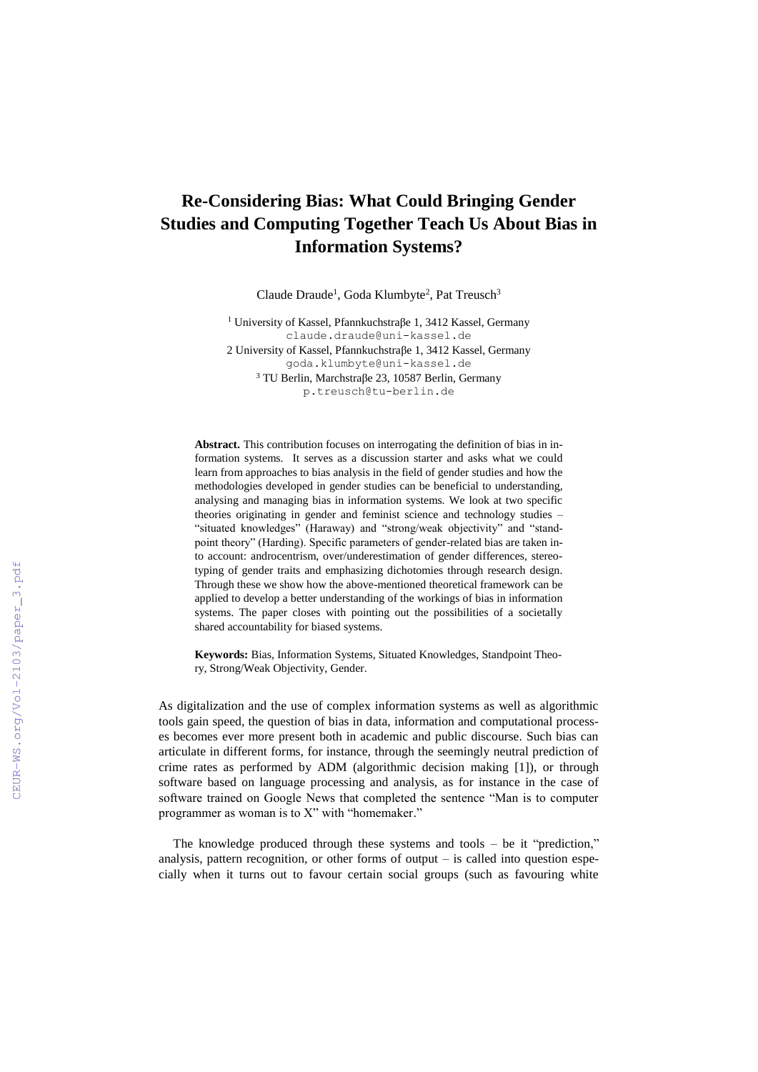## **Re-Considering Bias: What Could Bringing Gender Studies and Computing Together Teach Us About Bias in Information Systems?**

Claude Draude<sup>1</sup>, Goda Klumbyte<sup>2</sup>, Pat Treusch<sup>3</sup>

<sup>1</sup> University of Kassel, Pfannkuchstraβe 1, 3412 Kassel, Germany [claude.draude@uni-kassel.de](mailto:claude.draude@uni-kassel.de) 2 University of Kassel, Pfannkuchstraβe 1, 3412 Kassel, Germany [goda.klumbyte@uni-kassel.de](mailto:goda.klumbyte@uni-kassel.de) <sup>3</sup> TU Berlin, Marchstraβe 23, 10587 Berlin, Germany [p.treusch@tu-berlin.de](mailto:p.treusch@tu-berlin.de)

**Abstract.** This contribution focuses on interrogating the definition of bias in information systems. It serves as a discussion starter and asks what we could learn from approaches to bias analysis in the field of gender studies and how the methodologies developed in gender studies can be beneficial to understanding, analysing and managing bias in information systems. We look at two specific theories originating in gender and feminist science and technology studies – "situated knowledges" (Haraway) and "strong/weak objectivity" and "standpoint theory" (Harding). Specific parameters of gender-related bias are taken into account: androcentrism, over/underestimation of gender differences, stereotyping of gender traits and emphasizing dichotomies through research design. Through these we show how the above-mentioned theoretical framework can be applied to develop a better understanding of the workings of bias in information systems. The paper closes with pointing out the possibilities of a societally shared accountability for biased systems.

**Keywords:** Bias, Information Systems, Situated Knowledges, Standpoint Theory, Strong/Weak Objectivity, Gender.

As digitalization and the use of complex information systems as well as algorithmic tools gain speed, the question of bias in data, information and computational processes becomes ever more present both in academic and public discourse. Such bias can articulate in different forms, for instance, through the seemingly neutral prediction of crime rates as performed by ADM (algorithmic decision making [1]), or through software based on language processing and analysis, as for instance in the case of software trained on Google News that completed the sentence "Man is to computer programmer as woman is to X" with "homemaker."

The knowledge produced through these systems and tools – be it "prediction," analysis, pattern recognition, or other forms of output  $-$  is called into question especially when it turns out to favour certain social groups (such as favouring white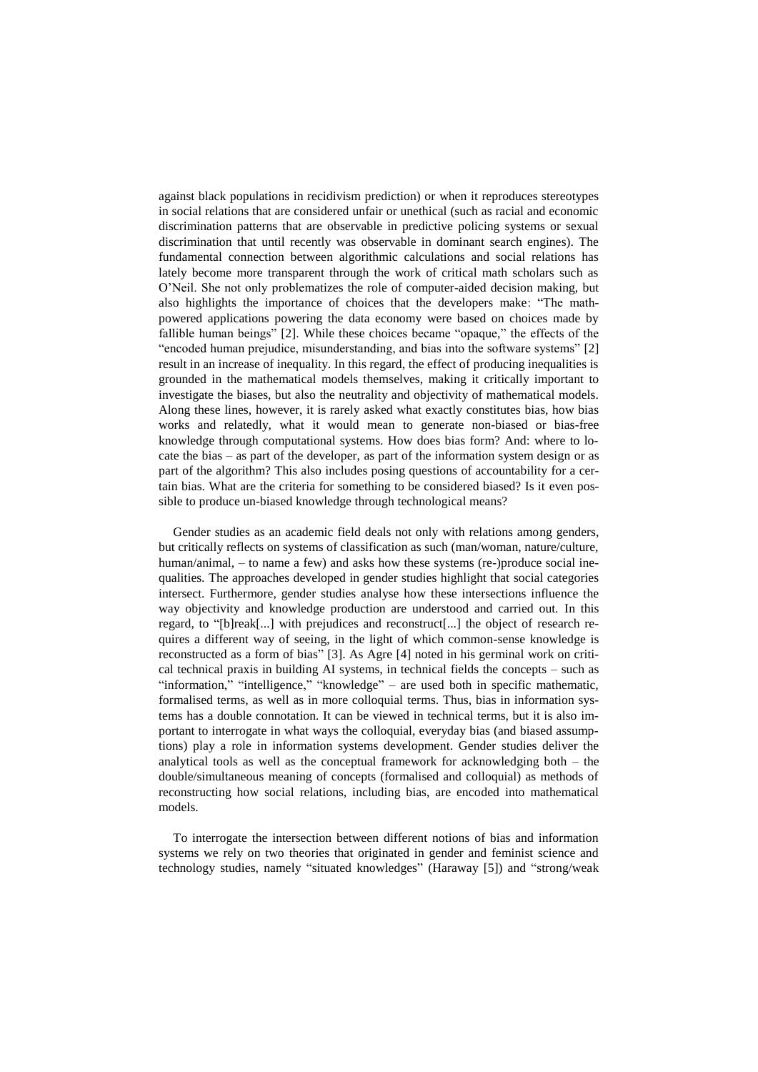against black populations in recidivism prediction) or when it reproduces stereotypes in social relations that are considered unfair or unethical (such as racial and economic discrimination patterns that are observable in predictive policing systems or sexual discrimination that until recently was observable in dominant search engines). The fundamental connection between algorithmic calculations and social relations has lately become more transparent through the work of critical math scholars such as O'Neil. She not only problematizes the role of computer-aided decision making, but also highlights the importance of choices that the developers make: "The mathpowered applications powering the data economy were based on choices made by fallible human beings" [2]. While these choices became "opaque," the effects of the "encoded human prejudice, misunderstanding, and bias into the software systems" [2] result in an increase of inequality. In this regard, the effect of producing inequalities is grounded in the mathematical models themselves, making it critically important to investigate the biases, but also the neutrality and objectivity of mathematical models. Along these lines, however, it is rarely asked what exactly constitutes bias, how bias works and relatedly, what it would mean to generate non-biased or bias-free knowledge through computational systems. How does bias form? And: where to locate the bias – as part of the developer, as part of the information system design or as part of the algorithm? This also includes posing questions of accountability for a certain bias. What are the criteria for something to be considered biased? Is it even possible to produce un-biased knowledge through technological means?

Gender studies as an academic field deals not only with relations among genders, but critically reflects on systems of classification as such (man/woman, nature/culture, human/animal, – to name a few) and asks how these systems (re-)produce social inequalities. The approaches developed in gender studies highlight that social categories intersect. Furthermore, gender studies analyse how these intersections influence the way objectivity and knowledge production are understood and carried out. In this regard, to "[b]reak[...] with prejudices and reconstruct[...] the object of research requires a different way of seeing, in the light of which common-sense knowledge is reconstructed as a form of bias" [3]. As Agre [4] noted in his germinal work on critical technical praxis in building AI systems, in technical fields the concepts – such as "information," "intelligence," "knowledge" – are used both in specific mathematic, formalised terms, as well as in more colloquial terms. Thus, bias in information systems has a double connotation. It can be viewed in technical terms, but it is also important to interrogate in what ways the colloquial, everyday bias (and biased assumptions) play a role in information systems development. Gender studies deliver the analytical tools as well as the conceptual framework for acknowledging both – the double/simultaneous meaning of concepts (formalised and colloquial) as methods of reconstructing how social relations, including bias, are encoded into mathematical models.

To interrogate the intersection between different notions of bias and information systems we rely on two theories that originated in gender and feminist science and technology studies, namely "situated knowledges" (Haraway [5]) and "strong/weak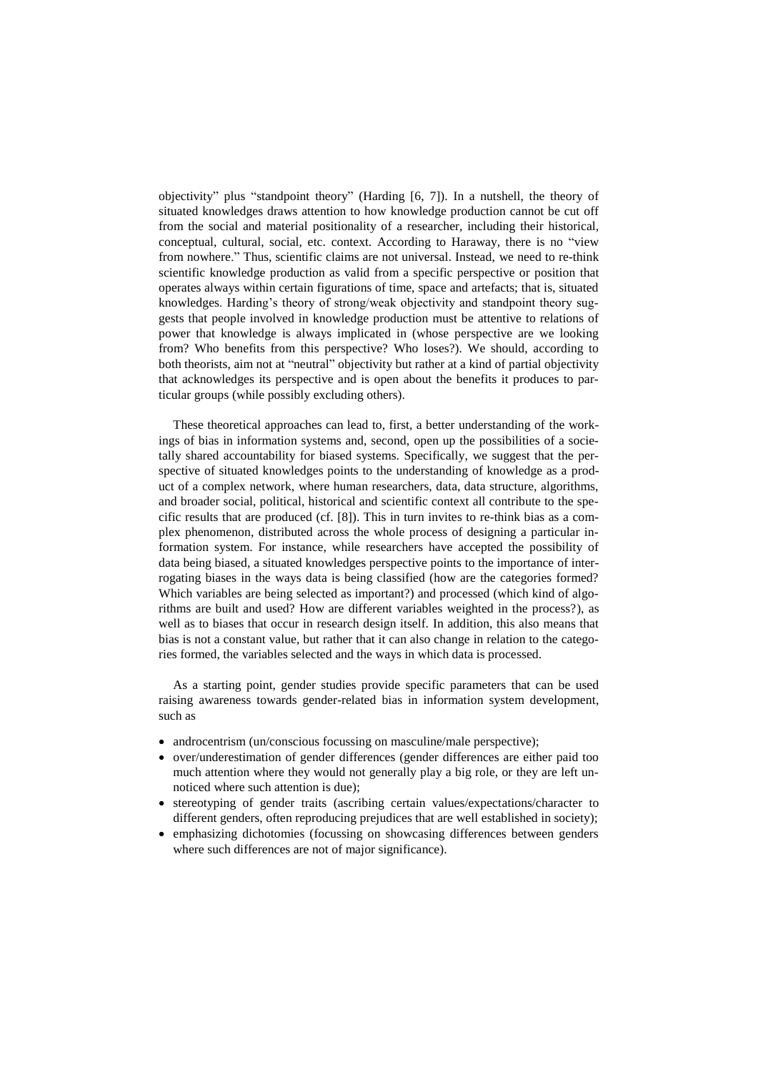objectivity" plus "standpoint theory" (Harding [6, 7]). In a nutshell, the theory of situated knowledges draws attention to how knowledge production cannot be cut off from the social and material positionality of a researcher, including their historical, conceptual, cultural, social, etc. context. According to Haraway, there is no "view from nowhere." Thus, scientific claims are not universal. Instead, we need to re-think scientific knowledge production as valid from a specific perspective or position that operates always within certain figurations of time, space and artefacts; that is, situated knowledges. Harding's theory of strong/weak objectivity and standpoint theory suggests that people involved in knowledge production must be attentive to relations of power that knowledge is always implicated in (whose perspective are we looking from? Who benefits from this perspective? Who loses?). We should, according to both theorists, aim not at "neutral" objectivity but rather at a kind of partial objectivity that acknowledges its perspective and is open about the benefits it produces to particular groups (while possibly excluding others).

These theoretical approaches can lead to, first, a better understanding of the workings of bias in information systems and, second, open up the possibilities of a societally shared accountability for biased systems. Specifically, we suggest that the perspective of situated knowledges points to the understanding of knowledge as a product of a complex network, where human researchers, data, data structure, algorithms, and broader social, political, historical and scientific context all contribute to the specific results that are produced (cf. [8]). This in turn invites to re-think bias as a complex phenomenon, distributed across the whole process of designing a particular information system. For instance, while researchers have accepted the possibility of data being biased, a situated knowledges perspective points to the importance of interrogating biases in the ways data is being classified (how are the categories formed? Which variables are being selected as important?) and processed (which kind of algorithms are built and used? How are different variables weighted in the process?), as well as to biases that occur in research design itself. In addition, this also means that bias is not a constant value, but rather that it can also change in relation to the categories formed, the variables selected and the ways in which data is processed.

As a starting point, gender studies provide specific parameters that can be used raising awareness towards gender-related bias in information system development, such as

- androcentrism (un/conscious focussing on masculine/male perspective);
- over/underestimation of gender differences (gender differences are either paid too much attention where they would not generally play a big role, or they are left unnoticed where such attention is due);
- stereotyping of gender traits (ascribing certain values/expectations/character to different genders, often reproducing prejudices that are well established in society);
- emphasizing dichotomies (focussing on showcasing differences between genders where such differences are not of major significance).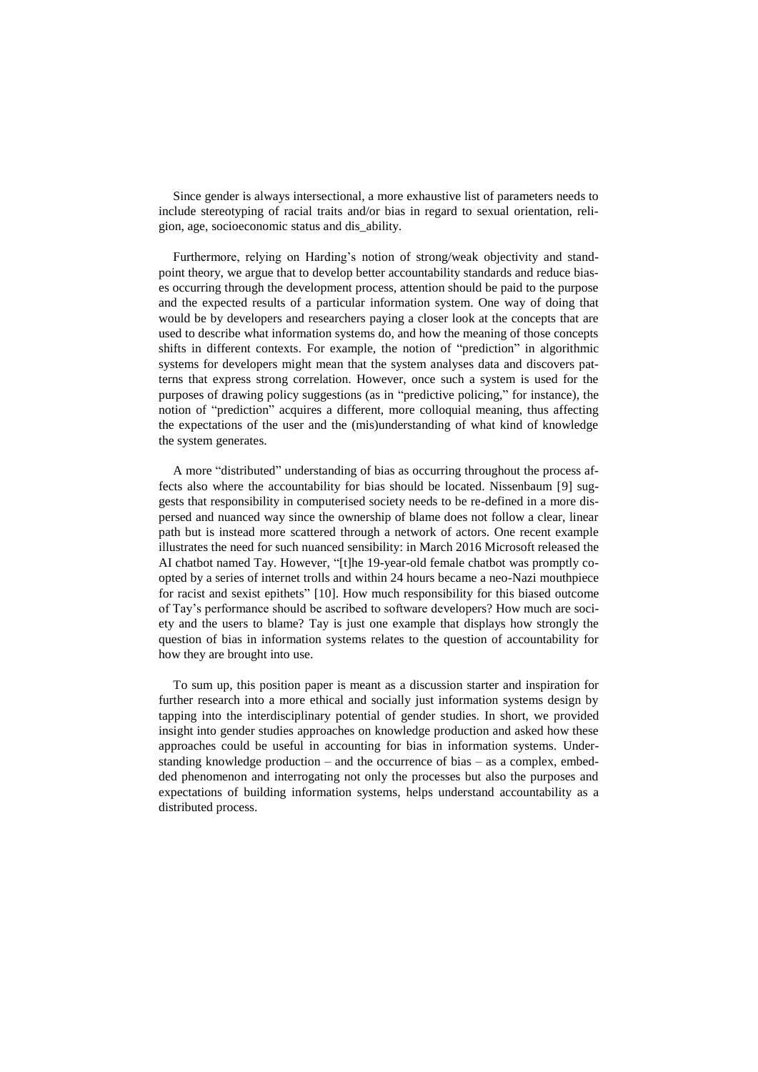Since gender is always intersectional, a more exhaustive list of parameters needs to include stereotyping of racial traits and/or bias in regard to sexual orientation, religion, age, socioeconomic status and dis\_ability.

Furthermore, relying on Harding's notion of strong/weak objectivity and standpoint theory, we argue that to develop better accountability standards and reduce biases occurring through the development process, attention should be paid to the purpose and the expected results of a particular information system. One way of doing that would be by developers and researchers paying a closer look at the concepts that are used to describe what information systems do, and how the meaning of those concepts shifts in different contexts. For example, the notion of "prediction" in algorithmic systems for developers might mean that the system analyses data and discovers patterns that express strong correlation. However, once such a system is used for the purposes of drawing policy suggestions (as in "predictive policing," for instance), the notion of "prediction" acquires a different, more colloquial meaning, thus affecting the expectations of the user and the (mis)understanding of what kind of knowledge the system generates.

A more "distributed" understanding of bias as occurring throughout the process affects also where the accountability for bias should be located. Nissenbaum [9] suggests that responsibility in computerised society needs to be re-defined in a more dispersed and nuanced way since the ownership of blame does not follow a clear, linear path but is instead more scattered through a network of actors. One recent example illustrates the need for such nuanced sensibility: in March 2016 Microsoft released the AI chatbot named Tay. However, "[t]he 19-year-old female chatbot was promptly coopted by a series of internet trolls and within 24 hours became a neo-Nazi mouthpiece for racist and sexist epithets" [10]. How much responsibility for this biased outcome of Tay's performance should be ascribed to software developers? How much are society and the users to blame? Tay is just one example that displays how strongly the question of bias in information systems relates to the question of accountability for how they are brought into use.

To sum up, this position paper is meant as a discussion starter and inspiration for further research into a more ethical and socially just information systems design by tapping into the interdisciplinary potential of gender studies. In short, we provided insight into gender studies approaches on knowledge production and asked how these approaches could be useful in accounting for bias in information systems. Understanding knowledge production – and the occurrence of bias – as a complex, embedded phenomenon and interrogating not only the processes but also the purposes and expectations of building information systems, helps understand accountability as a distributed process.